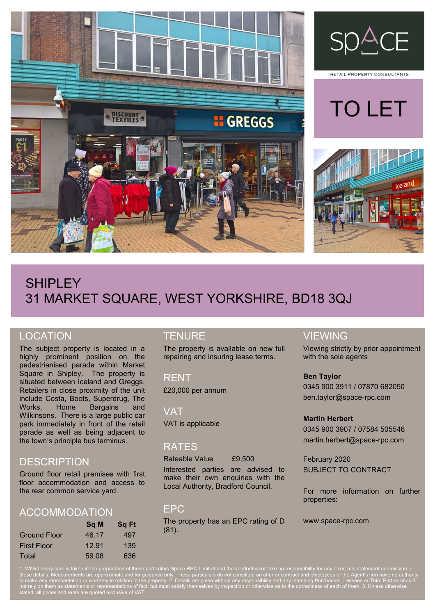



RETAIL PROPERTY CONSULTANTS





# **SHIPLEY** 31 MARKET SQUARE, WEST YORKSHIRE, BD18 3QJ

## LOCATION

The subject property is located in a highly prominent position on the pedestrianised parade within Market Square in Shipley. The property is situated between Iceland and Greggs. Retailers in close proximity of the unit include Costa, Boots, Superdrug, The Works, Home Bargains and Wilkinsons. There is a large public car park immediately in front of the retail parade as well as being adjacent to the town's principle bus terminus.

## **DESCRIPTION**

Ground floor retail premises with first floor accommodation and access to the rear common service yard.

## ACCOMMODATION

|                     | Sq M  | <b>Sq Ft</b> |
|---------------------|-------|--------------|
| <b>Ground Floor</b> | 46.17 | 497          |
| <b>First Floor</b>  | 12.91 | 139          |
| Total               | 59.08 | 636          |

### **TENURE**

The property is available on new full repairing and insuring lease terms.

RENT £20,000 per annum

**VAT** 

## VAT is applicable

#### RATES

Rateable Value £9,500

Interested parties are advised to make their own enquiries with the Local Authority, Bradford Council.

#### EPC

The property has an EPC rating of D (81).

#### VIEWING

Viewing strictly by prior appointment with the sole agents

#### **Ben Taylor**

0345 900 3911 / 07870 682050 ben.taylor@space-rpc.com

#### **Martin Herbert**

0345 900 3907 / 07584 505546 martin.herbert@space-rpc.com

February 2020 SUBJECT TO CONTRACT

For more information on further properties:

www.space-rpc.com

1. Whilst every care is taken in the preparation of these particulars Space RPC Limited and the vendor/lessor take no responsibility for any error, mis-statement or omission in to make any representation or warranty in relation to the property. 2. Details are given without any responsibility and any intending Purchasers, Lessees or Third Parties should not rely on them as statements or representations of fact, but must satisfy themselves by inspection or otherwise as to the correctness of each of them. 3. Unless otherwise